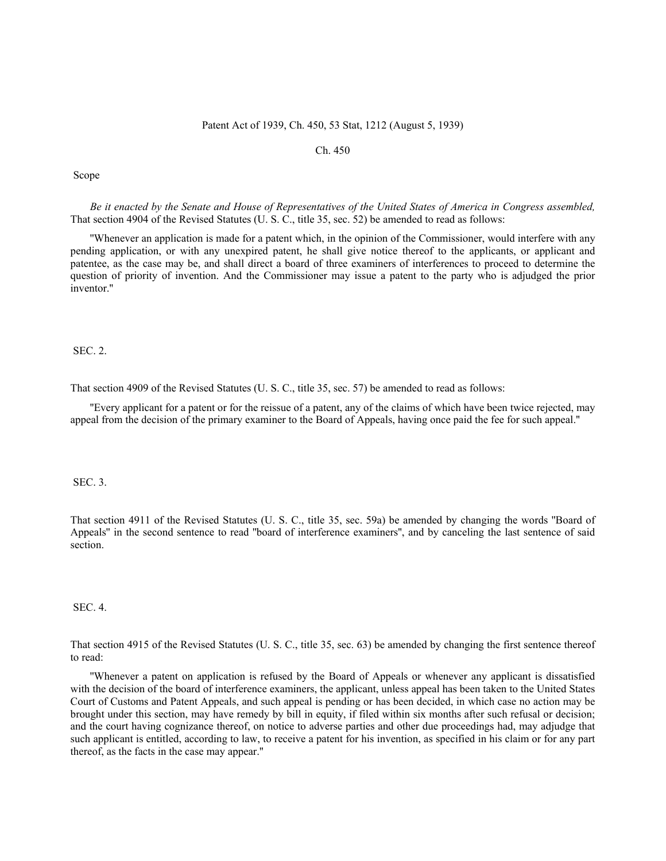## Patent Act of 1939, Ch. 450, 53 Stat, 1212 (August 5, 1939)

## Ch. 450

Scope

*Be it enacted by the Senate and House of Representatives of the United States of America in Congress assembled,* That section 4904 of the Revised Statutes (U. S. C., title 35, sec. 52) be amended to read as follows:

''Whenever an application is made for a patent which, in the opinion of the Commissioner, would interfere with any pending application, or with any unexpired patent, he shall give notice thereof to the applicants, or applicant and patentee, as the case may be, and shall direct a board of three examiners of interferences to proceed to determine the question of priority of invention. And the Commissioner may issue a patent to the party who is adjudged the prior inventor.''

SEC. 2.

That section 4909 of the Revised Statutes (U. S. C., title 35, sec. 57) be amended to read as follows:

''Every applicant for a patent or for the reissue of a patent, any of the claims of which have been twice rejected, may appeal from the decision of the primary examiner to the Board of Appeals, having once paid the fee for such appeal.''

SEC. 3.

That section 4911 of the Revised Statutes (U. S. C., title 35, sec. 59a) be amended by changing the words ''Board of Appeals'' in the second sentence to read ''board of interference examiners'', and by canceling the last sentence of said section.

SEC. 4.

That section 4915 of the Revised Statutes (U. S. C., title 35, sec. 63) be amended by changing the first sentence thereof to read:

''Whenever a patent on application is refused by the Board of Appeals or whenever any applicant is dissatisfied with the decision of the board of interference examiners, the applicant, unless appeal has been taken to the United States Court of Customs and Patent Appeals, and such appeal is pending or has been decided, in which case no action may be brought under this section, may have remedy by bill in equity, if filed within six months after such refusal or decision; and the court having cognizance thereof, on notice to adverse parties and other due proceedings had, may adjudge that such applicant is entitled, according to law, to receive a patent for his invention, as specified in his claim or for any part thereof, as the facts in the case may appear.''